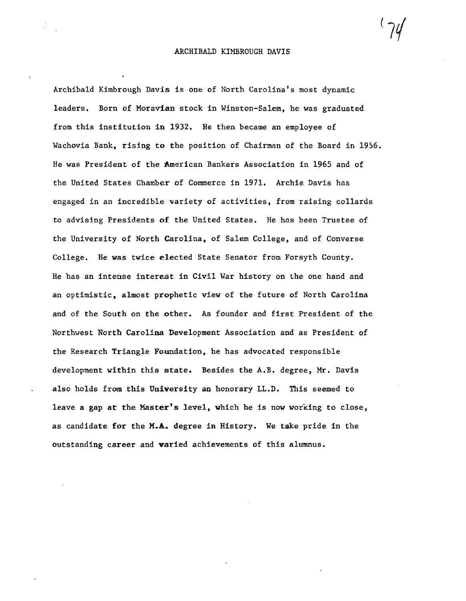Archibald Kimbrough Davis is one of North Carolina's most dynamic leaders. Born of Moravian stock in Winston-Salem, he was graduated from this institution in 1932. He then became an employee of Wachovia Bank, rising to the position of Chairman of the Board in 1956. He was President of the American Bankers Association in 1965 and of the United States Chamber of Commerce in 1971. Archie Davis has engaged in an incredible variety of activities, from raising collards to advising Presidents of the United States. He has been Trustee of the University of North Carolina, of Salem College, and of Converse College. He was twice elected State Senator from Forsyth County. He has an intense interest in Civil War history on the one hand and an optimistic, almost prophetic view of the future of North Carolina and of the South on the other. As founder and first President of the Northwest North Carolina Development Association and as President of the Research Triangle Foundation, he has advocated responsible development within this state. Besides the A.B. degree, Mr. Davis also holds from this University an honorary LL.D. This seemed to leave a gap at the Master's level, which he is now working to close, as candidate for the M.A. degree in History. We take pride in the outstanding career and varied achievements of this alumnus.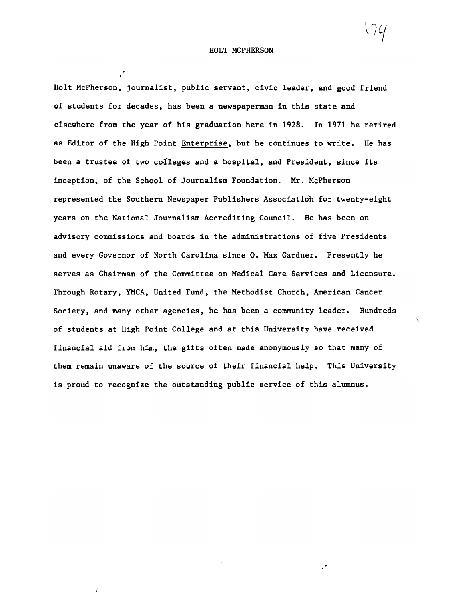Holt McPherson, journalist, public servant, civic leader, and good friend of students for decades, has been a newspaperman in this state and elsewhere from the year of his graduation here in 1928. In 1971 he retired as Editor of the High Point Enterprise, but he continues to write. He has been a trustee of two colleges and a hospital, and President, since its inception, of the School of Journalism Foundation. Mr. McPherson represented the Southern Newspaper Publishers Associatiob for twenty-eight years on the National Journalism Accrediting Council. He has been on advisory commissions and boards in the administrations of five Presidents and every Governor of North Carolina since O. Max Gardner. Presently he serves as Chairman of the Committee on Medical Care Services and Licensure. Through Rotary, YMCA, United Fund, the Methodist Church, American Cancer Society, and many other agencies, he has been a community leader. Hundreds of students at High Point College and at this University have received financial aid from him, the gifts often made anonymously so that many of them remain unaware of the source of their financial help. This University is proud to recognize the outstanding public service of this alumnus.

 $\overline{\phantom{0}}$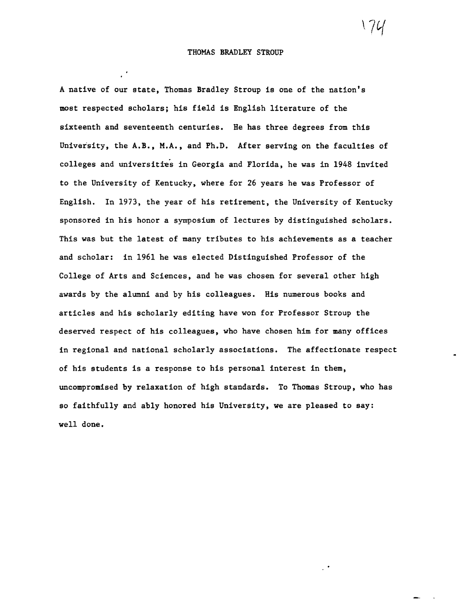A native of our state, Thomas Bradley Stroup is one of the nation's most respected scholars; his field is English literature of the sixteenth and seventeenth centuries. He has three degrees from this University, the A.B., M.A., and Ph.D. After serving on the faculties of colleges and universities in Georgia and Florida, he was in 1948 invited to the University of Kentucky, where for 26 years he was Professor of English. In 1973, the year of his retirement, the University of Kentucky sponsored in his honor a symposium of lectures by distinguished scholars. This was but the latest of many tributes to his achievements as a teacher and scholar: in 1961 he was elected Distinguished Professor of the College of Arts and Sciences, and he was chosen for several other high awards by the alumni and by his colleagues. His numerous books and articles and his scholarly editing have won for Professor Stroup the deserved respect of his colleagues, who have chosen him for many offices in regional and national scholarly associations. The affectionate respect of his students is a response to his personal interest in them, uncompromised by relaxation of high standards. To Thomas Stroup, who has so faithfully and ably honored his University, we are pleased to say: well done.

 $\sqrt{4}$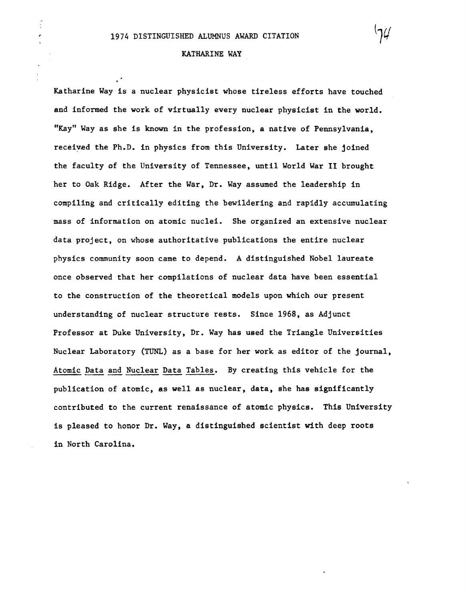$\frac{2}{3}$ 

## KATHARINE WAY

Katharine Way is a nuclear physicist whose tireless efforts have touched and informed the work of virtually every nuclear physicist in the world. "Kay" Way as she is known in the profession, a native of Pennsylvania, receivad the Ph.D. in physics from this University. Later she joined the faculty of the University of Tennessee, until World War II brought her to Oak Ridge. After the War, Dr. Way assumed the leadership in compiling and critically editing the bewildering and rapidly accumulating mass of information on atomic nuclei. She organized an extensive nuclear data project, on whose authoritative publications the entire nuclear physics community soon came to depend. A distinguished Nobel laureate once observed that her compilations of nuclear data have been essential to the construction of the theoretical models upon which our present understanding of nuclear structure rests. Since 1968, as Adjunct Professor at Duke University, Dr. Way has used the Triangle Universities Nuclear Laboratory (TUNL) as a base for her work as editor of the journal, Atomic Data and Nuclear Data Tables. By creating this vehicle for the publication of atomic, as well as nuclear, data, she has significantly contributed to the current renaissance of atomic physics. This University is pleased to honor Dr. Way, a distinguished scientist with deep roots in North Carolina.